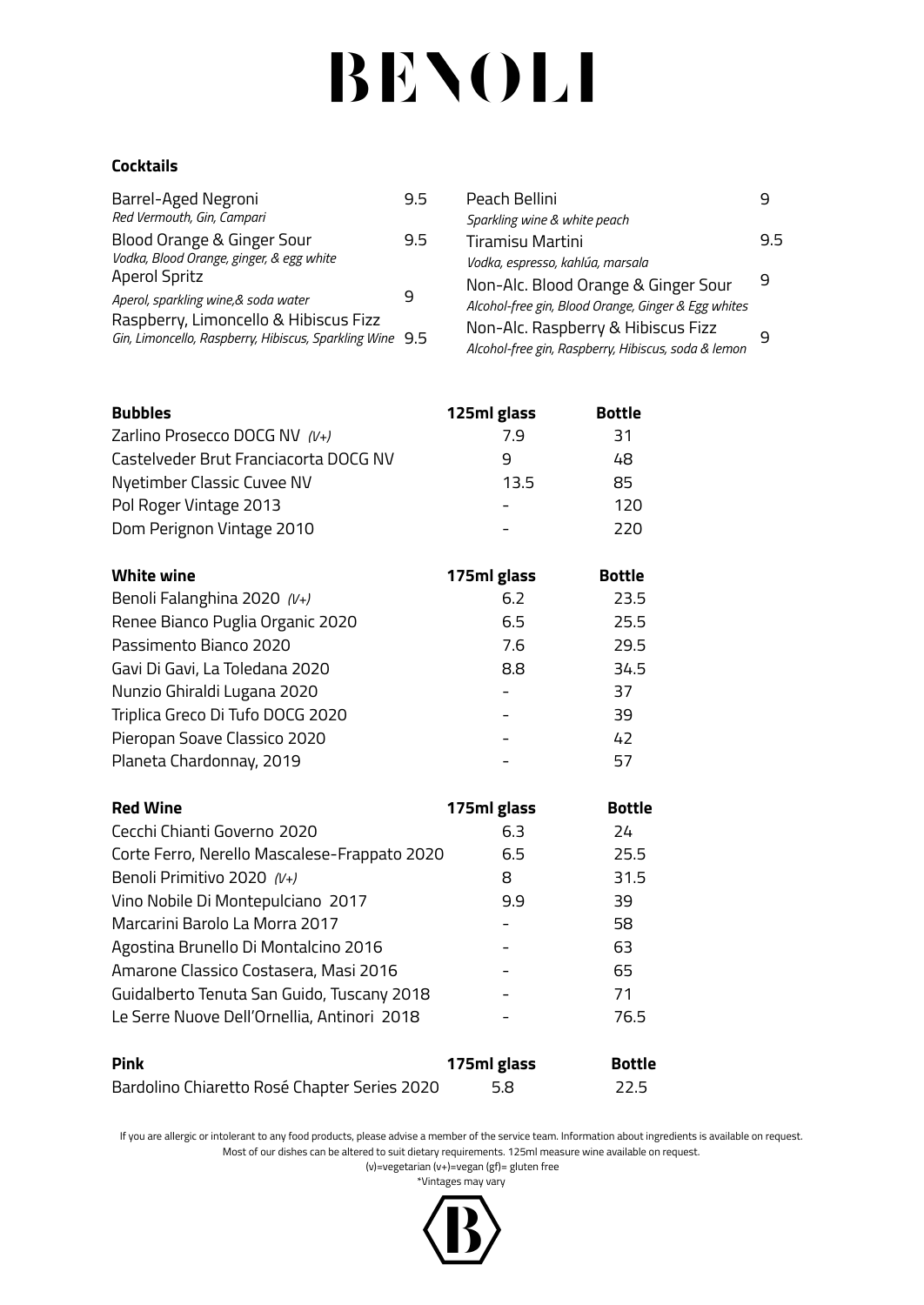# **BENOLI**

### **Cocktails**

| Barrel-Aged Negroni                                      | 9.5 |
|----------------------------------------------------------|-----|
| Red Vermouth, Gin, Campari                               |     |
| Blood Orange & Ginger Sour                               | 9.5 |
| Vodka, Blood Orange, ginger, & egg white                 |     |
| <b>Aperol Spritz</b>                                     |     |
| Aperol, sparkling wine, & soda water                     |     |
| Raspberry, Limoncello & Hibiscus Fizz                    |     |
| Gin, Limoncello, Raspberry, Hibiscus, Sparkling Wine 9.5 |     |
|                                                          |     |

| Peach Bellini                                       |     |
|-----------------------------------------------------|-----|
| Sparkling wine & white peach                        |     |
| <b>Tiramisu Martini</b>                             | 9.5 |
| Vodka, espresso, kahlúa, marsala                    |     |
| Non-Alc. Blood Orange & Ginger Sour                 | q   |
| Alcohol-free gin, Blood Orange, Ginger & Egg whites |     |
| Non-Alc. Raspberry & Hibiscus Fizz                  | q   |
| Alcohol-free gin, Raspberry, Hibiscus, soda & lemon |     |
|                                                     |     |

| <b>Bubbles</b>                        | 125ml glass | <b>Bottle</b> |
|---------------------------------------|-------------|---------------|
| Zarlino Prosecco DOCG NV (V+)         | 7.9         | 31            |
| Castelveder Brut Franciacorta DOCG NV | q           | 48            |
| Nyetimber Classic Cuvee NV            | 13.5        | 85            |
| Pol Roger Vintage 2013                |             | 120           |
| Dom Perignon Vintage 2010             |             | 220           |

| <b>White wine</b>                | 175ml glass | <b>Bottle</b> |
|----------------------------------|-------------|---------------|
| Benoli Falanghina 2020 (V+)      | 6.2         | 23.5          |
| Renee Bianco Puglia Organic 2020 | 6.5         | 25.5          |
| Passimento Bianco 2020           | 7.6         | 29.5          |
| Gavi Di Gavi, La Toledana 2020   | 8.8         | 34.5          |
| Nunzio Ghiraldi Lugana 2020      |             | 37            |
| Triplica Greco Di Tufo DOCG 2020 |             | 39            |
| Pieropan Soave Classico 2020     |             | 42            |
| Planeta Chardonnay, 2019         |             | 57            |

| <b>Red Wine</b>                              | 175ml glass | <b>Bottle</b> |
|----------------------------------------------|-------------|---------------|
| Cecchi Chianti Governo 2020                  | 6.3         | 24            |
| Corte Ferro, Nerello Mascalese-Frappato 2020 | 6.5         | 25.5          |
| Benoli Primitivo 2020 (V+)                   | 8           | 31.5          |
| Vino Nobile Di Montepulciano 2017            | 9.9         | 39            |
| Marcarini Barolo La Morra 2017               |             | 58            |
| Agostina Brunello Di Montalcino 2016         |             | 63            |
| Amarone Classico Costasera, Masi 2016        |             | 65            |
| Guidalberto Tenuta San Guido, Tuscany 2018   |             | 71            |
| Le Serre Nuove Dell'Ornellia, Antinori 2018  |             | 76.5          |
| <b>Pink</b>                                  | 175ml glass | <b>Bottle</b> |
| Bardolino Chiaretto Rosé Chapter Series 2020 | 5.8         | 22.5          |

If you are allergic or intolerant to any food products, please advise a member of the service team. Information about ingredients is available on request. Most of our dishes can be altered to suit dietary requirements. 125ml measure wine available on request.

(v)=vegetarian (v+)=vegan (gf)= gluten free

\*Vintages may vary